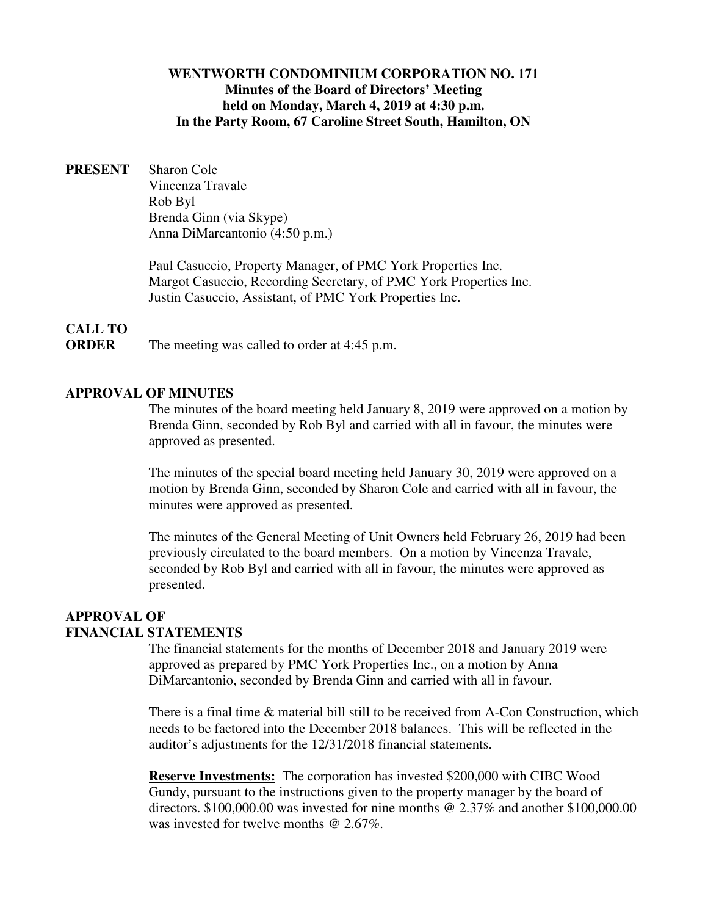## **WENTWORTH CONDOMINIUM CORPORATION NO. 171 Minutes of the Board of Directors' Meeting held on Monday, March 4, 2019 at 4:30 p.m. In the Party Room, 67 Caroline Street South, Hamilton, ON**

**PRESENT** Sharon Cole Vincenza Travale Rob Byl Brenda Ginn (via Skype) Anna DiMarcantonio (4:50 p.m.)

> Paul Casuccio, Property Manager, of PMC York Properties Inc. Margot Casuccio, Recording Secretary, of PMC York Properties Inc. Justin Casuccio, Assistant, of PMC York Properties Inc.

# **CALL TO**

**ORDER** The meeting was called to order at 4:45 p.m.

## **APPROVAL OF MINUTES**

The minutes of the board meeting held January 8, 2019 were approved on a motion by Brenda Ginn, seconded by Rob Byl and carried with all in favour, the minutes were approved as presented.

The minutes of the special board meeting held January 30, 2019 were approved on a motion by Brenda Ginn, seconded by Sharon Cole and carried with all in favour, the minutes were approved as presented.

The minutes of the General Meeting of Unit Owners held February 26, 2019 had been previously circulated to the board members. On a motion by Vincenza Travale, seconded by Rob Byl and carried with all in favour, the minutes were approved as presented.

# **APPROVAL OF FINANCIAL STATEMENTS**

The financial statements for the months of December 2018 and January 2019 were approved as prepared by PMC York Properties Inc., on a motion by Anna DiMarcantonio, seconded by Brenda Ginn and carried with all in favour.

There is a final time & material bill still to be received from A-Con Construction, which needs to be factored into the December 2018 balances. This will be reflected in the auditor's adjustments for the 12/31/2018 financial statements.

**Reserve Investments:** The corporation has invested \$200,000 with CIBC Wood Gundy, pursuant to the instructions given to the property manager by the board of directors. \$100,000.00 was invested for nine months @ 2.37% and another \$100,000.00 was invested for twelve months @ 2.67\%.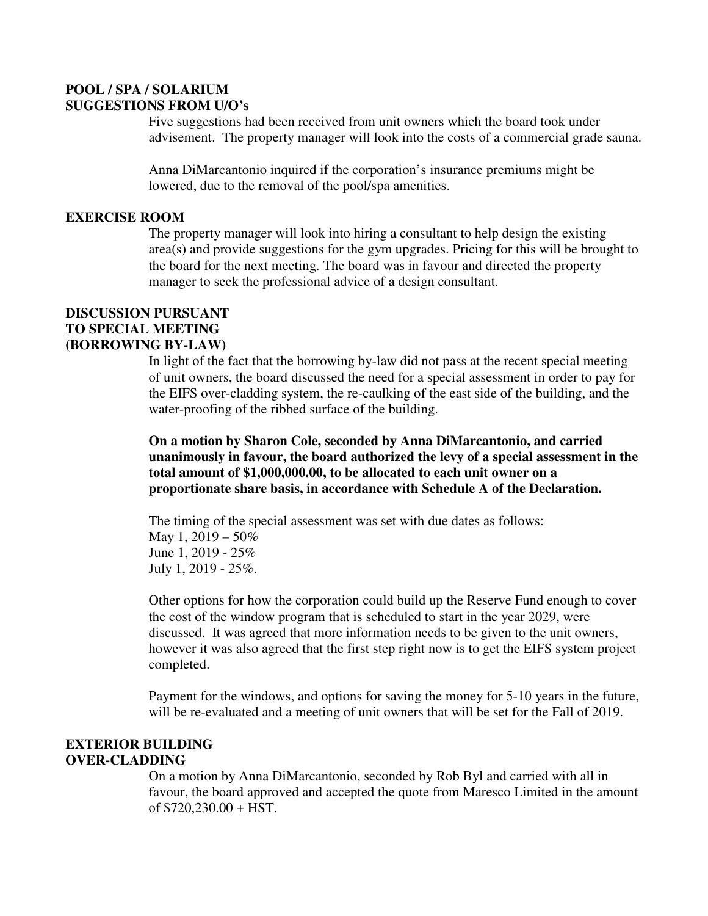# **POOL / SPA / SOLARIUM SUGGESTIONS FROM U/O's**

Five suggestions had been received from unit owners which the board took under advisement. The property manager will look into the costs of a commercial grade sauna.

Anna DiMarcantonio inquired if the corporation's insurance premiums might be lowered, due to the removal of the pool/spa amenities.

## **EXERCISE ROOM**

The property manager will look into hiring a consultant to help design the existing area(s) and provide suggestions for the gym upgrades. Pricing for this will be brought to the board for the next meeting. The board was in favour and directed the property manager to seek the professional advice of a design consultant.

## **DISCUSSION PURSUANT TO SPECIAL MEETING (BORROWING BY-LAW)**

In light of the fact that the borrowing by-law did not pass at the recent special meeting of unit owners, the board discussed the need for a special assessment in order to pay for the EIFS over-cladding system, the re-caulking of the east side of the building, and the water-proofing of the ribbed surface of the building.

**On a motion by Sharon Cole, seconded by Anna DiMarcantonio, and carried unanimously in favour, the board authorized the levy of a special assessment in the total amount of \$1,000,000.00, to be allocated to each unit owner on a proportionate share basis, in accordance with Schedule A of the Declaration.** 

The timing of the special assessment was set with due dates as follows: May 1,  $2019 - 50\%$ June 1, 2019 - 25% July 1, 2019 - 25%.

Other options for how the corporation could build up the Reserve Fund enough to cover the cost of the window program that is scheduled to start in the year 2029, were discussed. It was agreed that more information needs to be given to the unit owners, however it was also agreed that the first step right now is to get the EIFS system project completed.

Payment for the windows, and options for saving the money for 5-10 years in the future, will be re-evaluated and a meeting of unit owners that will be set for the Fall of 2019.

# **EXTERIOR BUILDING OVER-CLADDING**

On a motion by Anna DiMarcantonio, seconded by Rob Byl and carried with all in favour, the board approved and accepted the quote from Maresco Limited in the amount of \$720,230.00 + HST.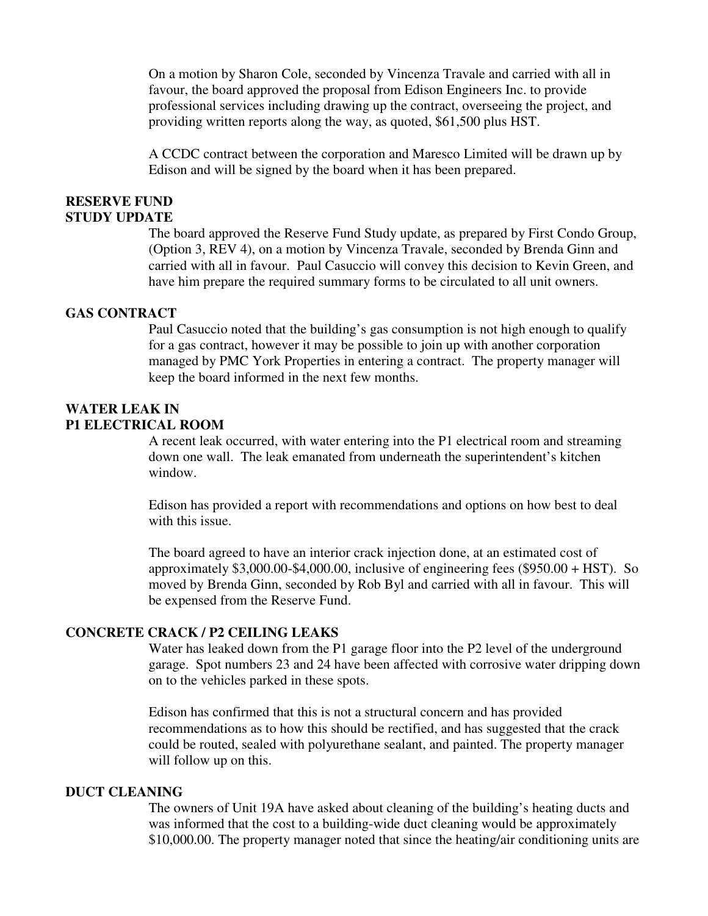On a motion by Sharon Cole, seconded by Vincenza Travale and carried with all in favour, the board approved the proposal from Edison Engineers Inc. to provide professional services including drawing up the contract, overseeing the project, and providing written reports along the way, as quoted, \$61,500 plus HST.

A CCDC contract between the corporation and Maresco Limited will be drawn up by Edison and will be signed by the board when it has been prepared.

#### **RESERVE FUND STUDY UPDATE**

The board approved the Reserve Fund Study update, as prepared by First Condo Group, (Option 3, REV 4), on a motion by Vincenza Travale, seconded by Brenda Ginn and carried with all in favour. Paul Casuccio will convey this decision to Kevin Green, and have him prepare the required summary forms to be circulated to all unit owners.

## **GAS CONTRACT**

Paul Casuccio noted that the building's gas consumption is not high enough to qualify for a gas contract, however it may be possible to join up with another corporation managed by PMC York Properties in entering a contract. The property manager will keep the board informed in the next few months.

## **WATER LEAK IN P1 ELECTRICAL ROOM**

A recent leak occurred, with water entering into the P1 electrical room and streaming down one wall. The leak emanated from underneath the superintendent's kitchen window.

Edison has provided a report with recommendations and options on how best to deal with this issue.

The board agreed to have an interior crack injection done, at an estimated cost of approximately  $$3,000.00-$4,000.00$ , inclusive of engineering fees  $($950.00 + HST)$ . So moved by Brenda Ginn, seconded by Rob Byl and carried with all in favour. This will be expensed from the Reserve Fund.

#### **CONCRETE CRACK / P2 CEILING LEAKS**

Water has leaked down from the P1 garage floor into the P2 level of the underground garage. Spot numbers 23 and 24 have been affected with corrosive water dripping down on to the vehicles parked in these spots.

Edison has confirmed that this is not a structural concern and has provided recommendations as to how this should be rectified, and has suggested that the crack could be routed, sealed with polyurethane sealant, and painted. The property manager will follow up on this.

#### **DUCT CLEANING**

The owners of Unit 19A have asked about cleaning of the building's heating ducts and was informed that the cost to a building-wide duct cleaning would be approximately \$10,000.00. The property manager noted that since the heating/air conditioning units are